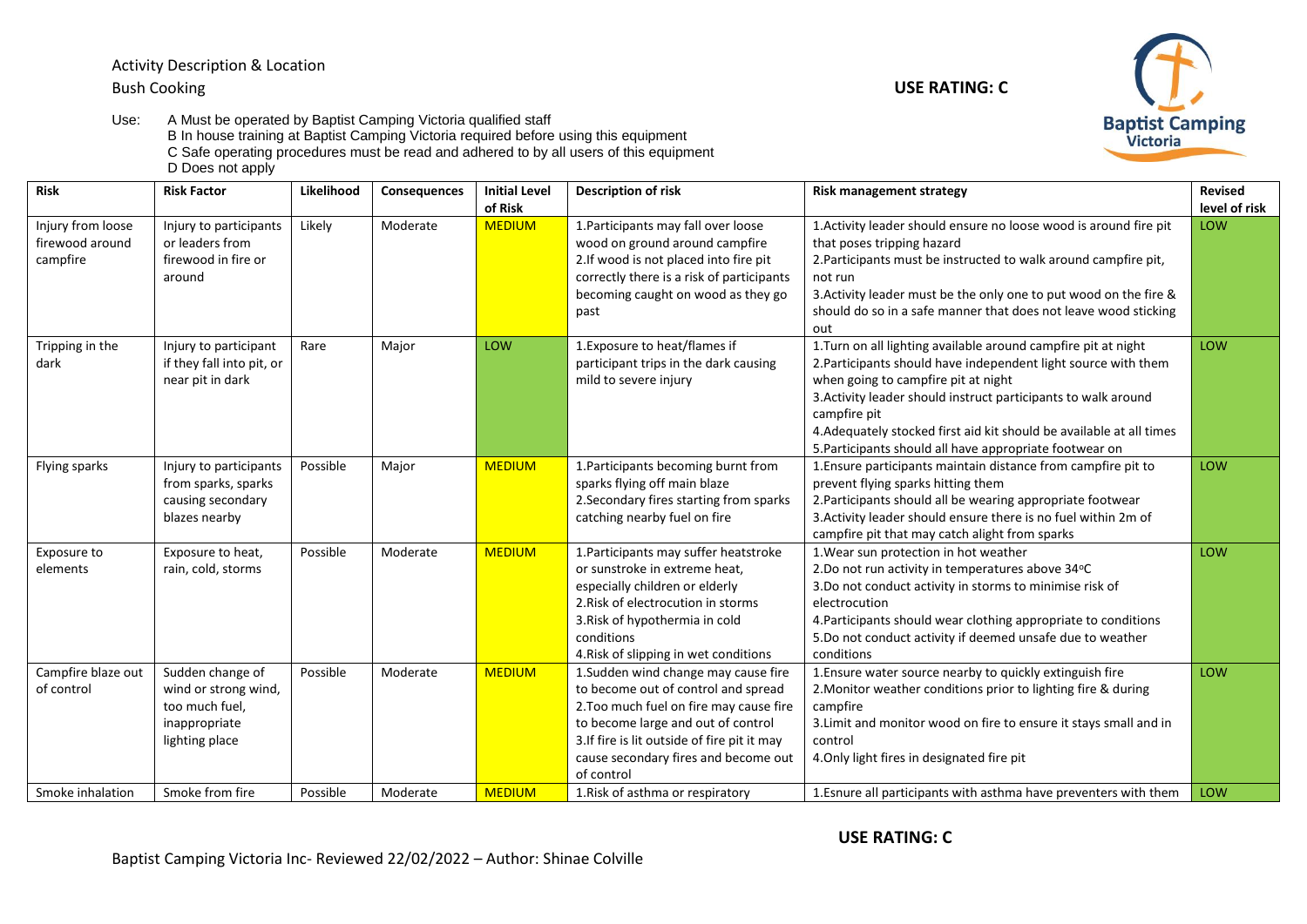Activity Description & Location Bush Cooking **USE RATING: C**

Use: A Must be operated by Baptist Camping Victoria qualified staff B In house training at Baptist Camping Victoria required before using this equipment C Safe operating procedures must be read and adhered to by all users of this equipment D Does not apply

| <b>Risk</b>                                          | <b>Risk Factor</b>                                                                                               | Likelihood           | Consequences         | <b>Initial Level</b><br>of Risk | <b>Description of risk</b>                                                                                                                                                                                                                                         | <b>Risk management strategy</b>                                                                                                                                                                                                                                                                                                                                                              | <b>Revised</b><br>level of risk |
|------------------------------------------------------|------------------------------------------------------------------------------------------------------------------|----------------------|----------------------|---------------------------------|--------------------------------------------------------------------------------------------------------------------------------------------------------------------------------------------------------------------------------------------------------------------|----------------------------------------------------------------------------------------------------------------------------------------------------------------------------------------------------------------------------------------------------------------------------------------------------------------------------------------------------------------------------------------------|---------------------------------|
| Injury from loose<br>firewood around<br>campfire     | Injury to participants<br>or leaders from<br>firewood in fire or<br>around                                       | Likely               | Moderate             | <b>MEDIUM</b>                   | 1. Participants may fall over loose<br>wood on ground around campfire<br>2. If wood is not placed into fire pit<br>correctly there is a risk of participants<br>becoming caught on wood as they go<br>past                                                         | 1. Activity leader should ensure no loose wood is around fire pit<br>that poses tripping hazard<br>2. Participants must be instructed to walk around campfire pit,<br>not run<br>3. Activity leader must be the only one to put wood on the fire &<br>should do so in a safe manner that does not leave wood sticking<br>out                                                                 | LOW                             |
| Tripping in the<br>dark                              | Injury to participant<br>if they fall into pit, or<br>near pit in dark                                           | Rare                 | Major                | LOW                             | 1. Exposure to heat/flames if<br>participant trips in the dark causing<br>mild to severe injury                                                                                                                                                                    | 1. Turn on all lighting available around campfire pit at night<br>2. Participants should have independent light source with them<br>when going to campfire pit at night<br>3. Activity leader should instruct participants to walk around<br>campfire pit<br>4. Adequately stocked first aid kit should be available at all times<br>5. Participants should all have appropriate footwear on | LOW                             |
| Flying sparks                                        | Injury to participants<br>from sparks, sparks<br>causing secondary<br>blazes nearby                              | Possible             | Major                | <b>MEDIUM</b>                   | 1. Participants becoming burnt from<br>sparks flying off main blaze<br>2. Secondary fires starting from sparks<br>catching nearby fuel on fire                                                                                                                     | 1. Ensure participants maintain distance from campfire pit to<br>prevent flying sparks hitting them<br>2. Participants should all be wearing appropriate footwear<br>3. Activity leader should ensure there is no fuel within 2m of<br>campfire pit that may catch alight from sparks                                                                                                        | LOW                             |
| Exposure to<br>elements                              | Exposure to heat,<br>rain, cold, storms                                                                          | Possible             | Moderate             | <b>MEDIUM</b>                   | 1. Participants may suffer heatstroke<br>or sunstroke in extreme heat,<br>especially children or elderly<br>2. Risk of electrocution in storms<br>3. Risk of hypothermia in cold<br>conditions<br>4. Risk of slipping in wet conditions                            | 1. Wear sun protection in hot weather<br>2.Do not run activity in temperatures above 34°C<br>3.Do not conduct activity in storms to minimise risk of<br>electrocution<br>4. Participants should wear clothing appropriate to conditions<br>5.Do not conduct activity if deemed unsafe due to weather<br>conditions                                                                           | LOW                             |
| Campfire blaze out<br>of control<br>Smoke inhalation | Sudden change of<br>wind or strong wind,<br>too much fuel,<br>inappropriate<br>lighting place<br>Smoke from fire | Possible<br>Possible | Moderate<br>Moderate | <b>MEDIUM</b><br><b>MEDIUM</b>  | 1. Sudden wind change may cause fire<br>to become out of control and spread<br>2. Too much fuel on fire may cause fire<br>to become large and out of control<br>3. If fire is lit outside of fire pit it may<br>cause secondary fires and become out<br>of control | 1. Ensure water source nearby to quickly extinguish fire<br>2. Monitor weather conditions prior to lighting fire & during<br>campfire<br>3. Limit and monitor wood on fire to ensure it stays small and in<br>control<br>4. Only light fires in designated fire pit                                                                                                                          | LOW<br>LOW                      |
|                                                      |                                                                                                                  |                      |                      |                                 | 1. Risk of asthma or respiratory                                                                                                                                                                                                                                   | 1. Esnure all participants with asthma have preventers with them                                                                                                                                                                                                                                                                                                                             |                                 |



**USE RATING: C**